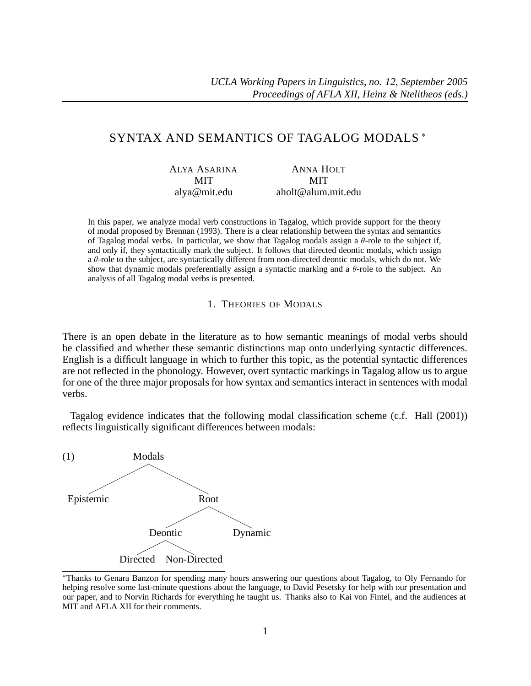# SYNTAX AND SEMANTICS OF TAGALOG MODALS <sup>∗</sup>

| <b>ALYA ASARINA</b> | <b>ANNA HOLT</b>   |
|---------------------|--------------------|
| MIT                 | MIT                |
| alya@mit.edu        | aholt@alum.mit.edu |

In this paper, we analyze modal verb constructions in Tagalog, which provide support for the theory of modal proposed by Brennan (1993). There is a clear relationship between the syntax and semantics of Tagalog modal verbs. In particular, we show that Tagalog modals assign a θ-role to the subject if, and only if, they syntactically mark the subject. It follows that directed deontic modals, which assign a θ-role to the subject, are syntactically different from non-directed deontic modals, which do not. We show that dynamic modals preferentially assign a syntactic marking and a  $\theta$ -role to the subject. An analysis of all Tagalog modal verbs is presented.

#### 1. THEORIES OF MODALS

There is an open debate in the literature as to how semantic meanings of modal verbs should be classified and whether these semantic distinctions map onto underlying syntactic differences. English is a difficult language in which to further this topic, as the potential syntactic differences are not reflected in the phonology. However, overt syntactic markings in Tagalog allow us to argue for one of the three major proposals for how syntax and semantics interact in sentences with modal verbs.

Tagalog evidence indicates that the following modal classification scheme (c.f. Hall (2001)) reflects linguistically significant differences between modals:



<sup>∗</sup>Thanks to Genara Banzon for spending many hours answering our questions about Tagalog, to Oly Fernando for helping resolve some last-minute questions about the language, to David Pesetsky for help with our presentation and our paper, and to Norvin Richards for everything he taught us. Thanks also to Kai von Fintel, and the audiences at MIT and AFLA XII for their comments.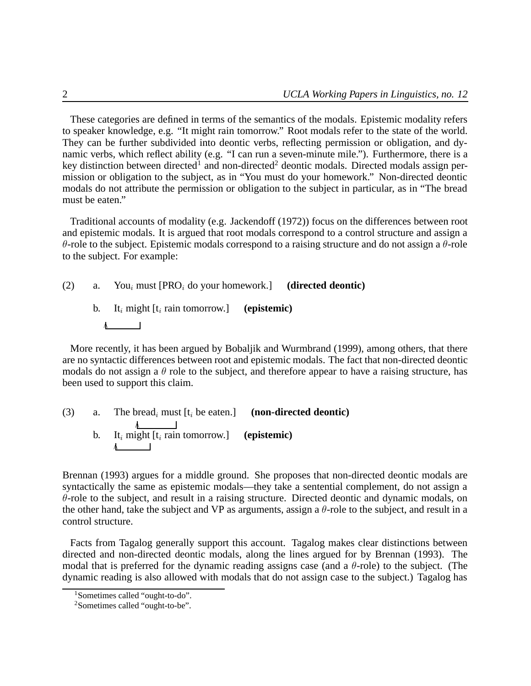These categories are defined in terms of the semantics of the modals. Epistemic modality refers to speaker knowledge, e.g. "It might rain tomorrow." Root modals refer to the state of the world. They can be further subdivided into deontic verbs, reflecting permission or obligation, and dynamic verbs, which reflect ability (e.g. "I can run a seven-minute mile."). Furthermore, there is a key distinction between directed<sup>1</sup> and non-directed<sup>2</sup> deontic modals. Directed modals assign permission or obligation to the subject, as in "You must do your homework." Non-directed deontic modals do not attribute the permission or obligation to the subject in particular, as in "The bread must be eaten."

Traditional accounts of modality (e.g. Jackendoff (1972)) focus on the differences between root and epistemic modals. It is argued that root modals correspond to a control structure and assign a θ-role to the subject. Epistemic modals correspond to a raising structure and do not assign a θ-role to the subject. For example:

(2) a. You*<sup>i</sup>* must [PRO*<sup>i</sup>* do your homework.] **(directed deontic)** b. It*<sup>i</sup>* might [t*<sup>i</sup>* rain tomorrow.] **(epistemic)**

More recently, it has been argued by Bobaljik and Wurmbrand (1999), among others, that there are no syntactic differences between root and epistemic modals. The fact that non-directed deontic modals do not assign a  $\theta$  role to the subject, and therefore appear to have a raising structure, has been used to support this claim.

\n- (3) a. The bread<sub>i</sub> must 
$$
[t_i]
$$
 be eaten.] (non-directed deontic)
\n- b.  $It_i$  might  $[t_i$  rain tomorrow.] (epistemic)
\n

Brennan (1993) argues for a middle ground. She proposes that non-directed deontic modals are syntactically the same as epistemic modals—they take a sentential complement, do not assign a  $\theta$ -role to the subject, and result in a raising structure. Directed deontic and dynamic modals, on the other hand, take the subject and VP as arguments, assign a  $\theta$ -role to the subject, and result in a control structure.

Facts from Tagalog generally support this account. Tagalog makes clear distinctions between directed and non-directed deontic modals, along the lines argued for by Brennan (1993). The modal that is preferred for the dynamic reading assigns case (and a  $\theta$ -role) to the subject. (The dynamic reading is also allowed with modals that do not assign case to the subject.) Tagalog has

<sup>1</sup>Sometimes called "ought-to-do".

<sup>2</sup>Sometimes called "ought-to-be".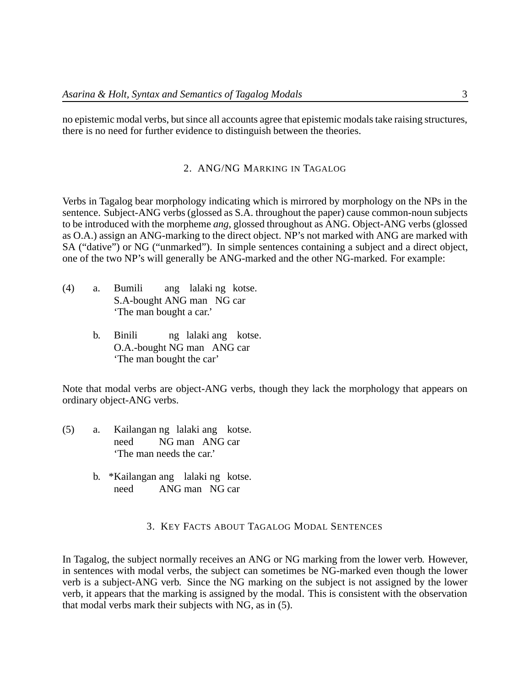no epistemic modal verbs, but since all accounts agree that epistemic modals take raising structures, there is no need for further evidence to distinguish between the theories.

# 2. ANG/NG MARKING IN TAGALOG

Verbs in Tagalog bear morphology indicating which is mirrored by morphology on the NPs in the sentence. Subject-ANG verbs (glossed as S.A. throughout the paper) cause common-noun subjects to be introduced with the morpheme *ang*, glossed throughout as ANG. Object-ANG verbs (glossed as O.A.) assign an ANG-marking to the direct object. NP's not marked with ANG are marked with SA ("dative") or NG ("unmarked"). In simple sentences containing a subject and a direct object, one of the two NP's will generally be ANG-marked and the other NG-marked. For example:

- (4) a. Bumili S.A-bought ANG man NG car ang lalaki ng kotse. 'The man bought a car.'
	- b. Binili O.A.-bought NG man ANG car ng lalaki ang kotse. 'The man bought the car'

Note that modal verbs are object-ANG verbs, though they lack the morphology that appears on ordinary object-ANG verbs.

- (5) a. Kailangan ng lalaki ang kotse. need NG man ANG car 'The man needs the car.'
	- b. \*Kailangan ang lalaki ng kotse. need ANG man NG car

# 3. KEY FACTS ABOUT TAGALOG MODAL SENTENCES

In Tagalog, the subject normally receives an ANG or NG marking from the lower verb. However, in sentences with modal verbs, the subject can sometimes be NG-marked even though the lower verb is a subject-ANG verb. Since the NG marking on the subject is not assigned by the lower verb, it appears that the marking is assigned by the modal. This is consistent with the observation that modal verbs mark their subjects with NG, as in (5).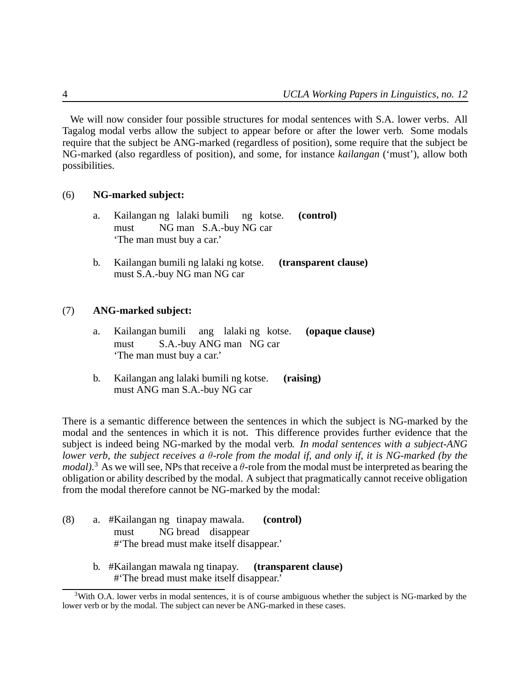We will now consider four possible structures for modal sentences with S.A. lower verbs. All Tagalog modal verbs allow the subject to appear before or after the lower verb. Some modals require that the subject be ANG-marked (regardless of position), some require that the subject be NG-marked (also regardless of position), and some, for instance *kailangan* ('must'), allow both possibilities.

### (6) **NG-marked subject:**

- a. Kailangan ng lalaki bumili ng kotse. must NG man S.A.-buy NG car **(control)** 'The man must buy a car.'
- b. Kailangan bumili ng lalaki ng kotse. **(transparent clause)** must S.A.-buy NG man NG car

# (7) **ANG-marked subject:**

- a. Kailangan bumili ang lalaki ng kotse. must S.A.-buy ANG man NG car **(opaque clause)** 'The man must buy a car.'
- b. Kailangan ang lalaki bumili ng kotse. **(raising)** must ANG man S.A.-buy NG car

There is a semantic difference between the sentences in which the subject is NG-marked by the modal and the sentences in which it is not. This difference provides further evidence that the subject is indeed being NG-marked by the modal verb. *In modal sentences with a subject-ANG lower verb, the subject receives a* θ*-role from the modal if, and only if, it is NG-marked (by the modal*).<sup>3</sup> As we will see, NPs that receive a  $\theta$ -role from the modal must be interpreted as bearing the obligation or ability described by the modal. A subject that pragmatically cannot receive obligation from the modal therefore cannot be NG-marked by the modal:

- (8) a. #Kailangan ng tinapay mawala. must NG bread disappear **(control)** #'The bread must make itself disappear.'
	- b. #Kailangan mawala ng tinapay. **(transparent clause)** #'The bread must make itself disappear.'

<sup>&</sup>lt;sup>3</sup>With O.A. lower verbs in modal sentences, it is of course ambiguous whether the subject is NG-marked by the lower verb or by the modal. The subject can never be ANG-marked in these cases.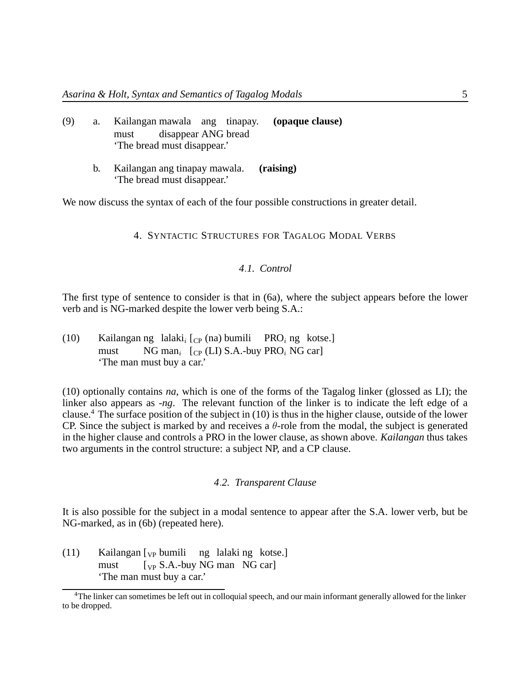| (9) | a. Kailangan mawala ang tinapay. ( <b>opaque clause</b> ) |  |
|-----|-----------------------------------------------------------|--|
|     | must disappear ANG bread                                  |  |
|     | The bread must disappear.'                                |  |

b. Kailangan ang tinapay mawala. **(raising)** 'The bread must disappear.'

We now discuss the syntax of each of the four possible constructions in greater detail.

### 4. SYNTACTIC STRUCTURES FOR TAGALOG MODAL VERBS

# *4*.*1. Control*

The first type of sentence to consider is that in (6a), where the subject appears before the lower verb and is NG-marked despite the lower verb being S.A.:

(10) Kailangan ng lalaki<sub>*i*</sub> [<sub>CP</sub> (na) bumili PRO<sub>*i*</sub> ng kotse.] must NG man<sub>*i*</sub> [<sub>CP</sub> (LI) S.A.-buy PRO<sub>*i*</sub> NG car] 'The man must buy a car.'

(10) optionally contains *na*, which is one of the forms of the Tagalog linker (glossed as LI); the linker also appears as *-ng*. The relevant function of the linker is to indicate the left edge of a clause.<sup>4</sup> The surface position of the subject in (10) is thus in the higher clause, outside of the lower CP. Since the subject is marked by and receives a  $\theta$ -role from the modal, the subject is generated in the higher clause and controls a PRO in the lower clause, as shown above. *Kailangan* thus takes two arguments in the control structure: a subject NP, and a CP clause.

### *4*.*2. Transparent Clause*

It is also possible for the subject in a modal sentence to appear after the S.A. lower verb, but be NG-marked, as in (6b) (repeated here).

(11) Kailangan [<sub>VP</sub> bumili ng lalaki ng kotse.] must [<sub>VP</sub> S.A.-buy NG man NG car] 'The man must buy a car.'

<sup>4</sup>The linker can sometimes be left out in colloquial speech, and our main informant generally allowed for the linker to be dropped.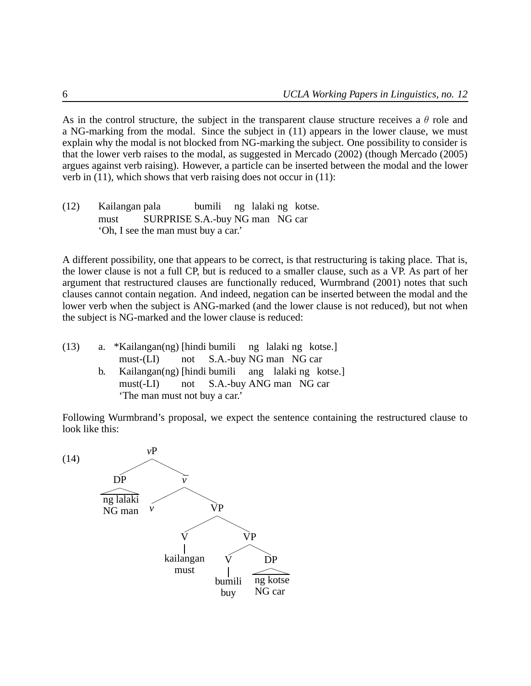As in the control structure, the subject in the transparent clause structure receives a  $\theta$  role and a NG-marking from the modal. Since the subject in (11) appears in the lower clause, we must explain why the modal is not blocked from NG-marking the subject. One possibility to consider is that the lower verb raises to the modal, as suggested in Mercado (2002) (though Mercado (2005) argues against verb raising). However, a particle can be inserted between the modal and the lower verb in (11), which shows that verb raising does not occur in (11):

(12) Kailangan pala must SURPRISE S.A.-buy NG man NG car bumili ng lalaki ng kotse. 'Oh, I see the man must buy a car.'

A different possibility, one that appears to be correct, is that restructuring is taking place. That is, the lower clause is not a full CP, but is reduced to a smaller clause, such as a VP. As part of her argument that restructured clauses are functionally reduced, Wurmbrand (2001) notes that such clauses cannot contain negation. And indeed, negation can be inserted between the modal and the lower verb when the subject is ANG-marked (and the lower clause is not reduced), but not when the subject is NG-marked and the lower clause is reduced:

- (13) a. \*Kailangan(ng) [hindi bumili  $must$ - $(LI)$ not S.A.-buy NG man NG car ng lalaki ng kotse.]
	- b. Kailangan(ng) [hindi bumili must(-LI) not S.A.-buy ANG man NG car ang lalaki ng kotse.] 'The man must not buy a car.'

Following Wurmbrand's proposal, we expect the sentence containing the restructured clause to look like this:

(14)

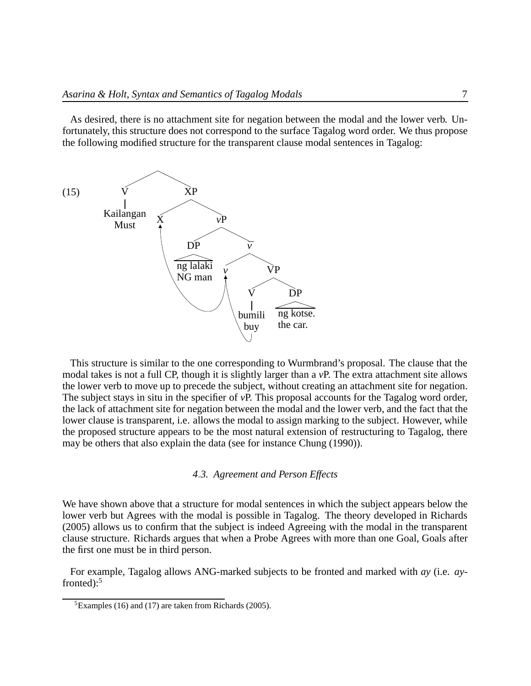As desired, there is no attachment site for negation between the modal and the lower verb. Unfortunately, this structure does not correspond to the surface Tagalog word order. We thus propose the following modified structure for the transparent clause modal sentences in Tagalog:



This structure is similar to the one corresponding to Wurmbrand's proposal. The clause that the modal takes is not a full CP, though it is slightly larger than a *v*P. The extra attachment site allows the lower verb to move up to precede the subject, without creating an attachment site for negation. The subject stays in situ in the specifier of *v*P. This proposal accounts for the Tagalog word order, the lack of attachment site for negation between the modal and the lower verb, and the fact that the lower clause is transparent, i.e. allows the modal to assign marking to the subject. However, while the proposed structure appears to be the most natural extension of restructuring to Tagalog, there may be others that also explain the data (see for instance Chung (1990)).

#### *4*.*3. Agreement and Person Effects*

We have shown above that a structure for modal sentences in which the subject appears below the lower verb but Agrees with the modal is possible in Tagalog. The theory developed in Richards (2005) allows us to confirm that the subject is indeed Agreeing with the modal in the transparent clause structure. Richards argues that when a Probe Agrees with more than one Goal, Goals after the first one must be in third person.

For example, Tagalog allows ANG-marked subjects to be fronted and marked with *ay* (i.e. *ay*fronted): $5$ 

 ${}^{5}$ Examples (16) and (17) are taken from Richards (2005).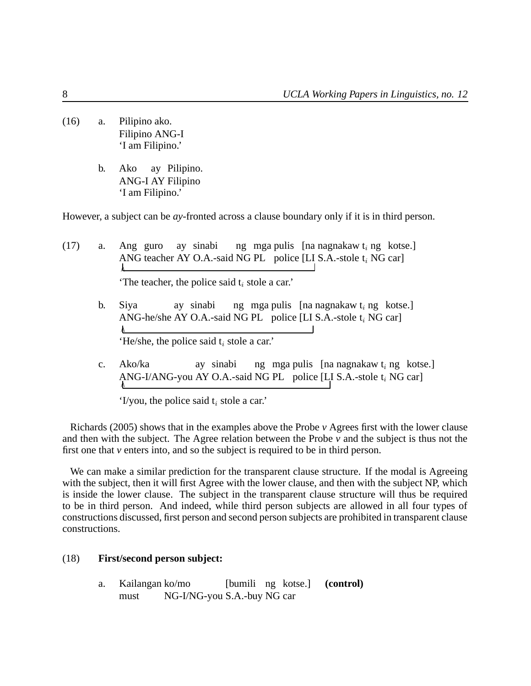- (16) a. Pilipino ako. Filipino ANG-I 'I am Filipino.'
	- b. Ako ANG-I AY Filipino ay Pilipino. 'I am Filipino.'

However, a subject can be *ay*-fronted across a clause boundary only if it is in third person.

 $(17)$  a. ANG teacher AY O.A.-said NG PL police [LI S.A.-stole t*i* NG car] Ang guro ay sinabi ng mga pulis [na nagnakaw t*i* ng kotse.] 'The teacher, the police said t*<sup>i</sup>* stole a car.' b. Siya ay sinabi

- ANG-he/she AY O.A.-said NG PL police [LI S.A.-stole t<sub>i</sub> NG car] ng mga pulis [na nagnakaw t*i* ng kotse.] 'He/she, the police said t*<sup>i</sup>* stole a car.'
- c. Ako/ka ANG-I/ANG-you AY O.A.-said NG PL police [LI S.A.-stole t*i* NG car] ay sinabi ng mga pulis [na nagnakaw t*i* ng kotse.]

'I/you, the police said t*<sup>i</sup>* stole a car.'

Richards (2005) shows that in the examples above the Probe *v* Agrees first with the lower clause and then with the subject. The Agree relation between the Probe  $\nu$  and the subject is thus not the first one that *v* enters into, and so the subject is required to be in third person.

We can make a similar prediction for the transparent clause structure. If the modal is Agreeing with the subject, then it will first Agree with the lower clause, and then with the subject NP, which is inside the lower clause. The subject in the transparent clause structure will thus be required to be in third person. And indeed, while third person subjects are allowed in all four types of constructions discussed, first person and second person subjects are prohibited in transparent clause constructions.

### (18) **First/second person subject:**

a. Kailangan ko/mo must NG-I/NG-you S.A.-buy NG car [bumili ng kotse.] **(control)**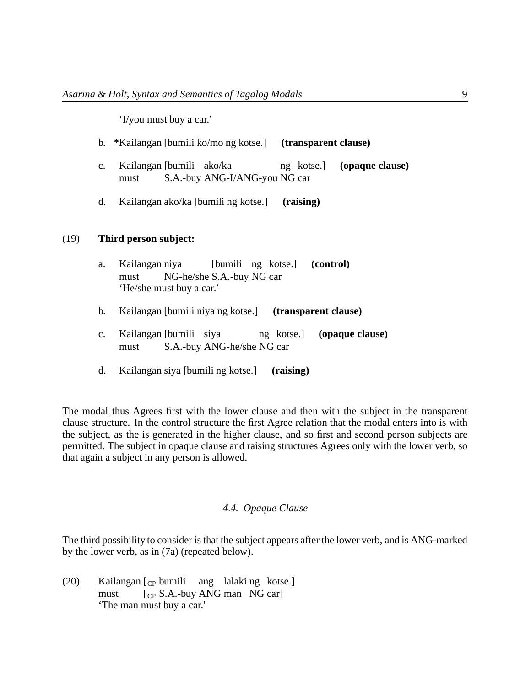'I/you must buy a car.'

- b. \*Kailangan [bumili ko/mo ng kotse.] **(transparent clause)**
- c. Kailangan [bumili ako/ka must S.A.-buy ANG-I/ANG-you NG car ng kotse.] **(opaque clause)**
- d. Kailangan ako/ka [bumili ng kotse.] **(raising)**

# (19) **Third person subject:**

- a. Kailangan niya must NG-he/she S.A.-buy NG car [bumili ng kotse.] **(control)** 'He/she must buy a car.'
- b. Kailangan [bumili niya ng kotse.] **(transparent clause)**
- c. Kailangan [bumili siya must S.A.-buy ANG-he/she NG car ng kotse.] **(opaque clause)**
- d. Kailangan siya [bumili ng kotse.] **(raising)**

The modal thus Agrees first with the lower clause and then with the subject in the transparent clause structure. In the control structure the first Agree relation that the modal enters into is with the subject, as the is generated in the higher clause, and so first and second person subjects are permitted. The subject in opaque clause and raising structures Agrees only with the lower verb, so that again a subject in any person is allowed.

#### *4*.*4. Opaque Clause*

The third possibility to consider is that the subject appears after the lower verb, and is ANG-marked by the lower verb, as in (7a) (repeated below).

(20) Kailangan [CP bumili ang lalaki ng kotse.] must [<sub>CP</sub> S.A.-buy ANG man NG car] 'The man must buy a car.'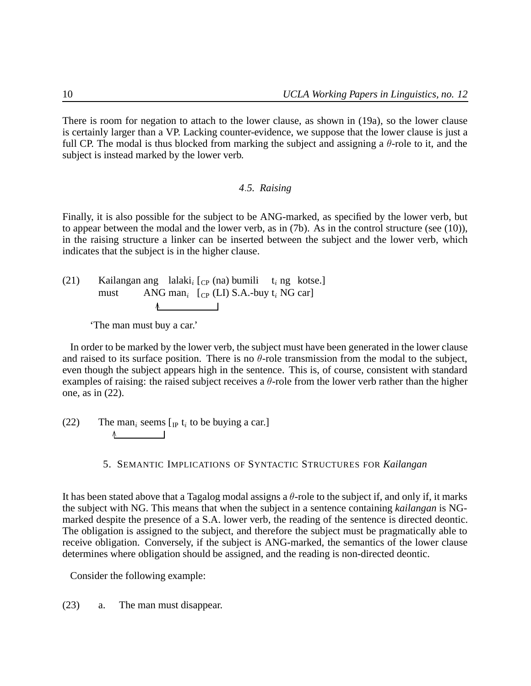There is room for negation to attach to the lower clause, as shown in (19a), so the lower clause is certainly larger than a VP. Lacking counter-evidence, we suppose that the lower clause is just a full CP. The modal is thus blocked from marking the subject and assigning a  $\theta$ -role to it, and the subject is instead marked by the lower verb.

# *4*.*5. Raising*

Finally, it is also possible for the subject to be ANG-marked, as specified by the lower verb, but to appear between the modal and the lower verb, as in (7b). As in the control structure (see (10)), in the raising structure a linker can be inserted between the subject and the lower verb, which indicates that the subject is in the higher clause.

(21) Kailangan ang lalaki<sub>i</sub> [<sub>CP</sub> (na) bumili t<sub>i</sub> ng kotse.] must ANG man<sub>i</sub> [<sub>CP</sub> (LI) S.A.-buy t<sub>i</sub> NG car]  $\Lambda$  and  $\Lambda$ 

'The man must buy a car.'

In order to be marked by the lower verb, the subject must have been generated in the lower clause and raised to its surface position. There is no  $\theta$ -role transmission from the modal to the subject, even though the subject appears high in the sentence. This is, of course, consistent with standard examples of raising: the raised subject receives a  $\theta$ -role from the lower verb rather than the higher one, as in (22).

(22) The man<sub>*i*</sub> seems [<sub>IP</sub> t<sub>*i*</sub> to be buying a car.]

5. SEMANTIC IMPLICATIONS OF SYNTACTIC STRUCTURES FOR *Kailangan*

It has been stated above that a Tagalog modal assigns a  $\theta$ -role to the subject if, and only if, it marks the subject with NG. This means that when the subject in a sentence containing *kailangan* is NGmarked despite the presence of a S.A. lower verb, the reading of the sentence is directed deontic. The obligation is assigned to the subject, and therefore the subject must be pragmatically able to receive obligation. Conversely, if the subject is ANG-marked, the semantics of the lower clause determines where obligation should be assigned, and the reading is non-directed deontic.

Consider the following example:

(23) a. The man must disappear.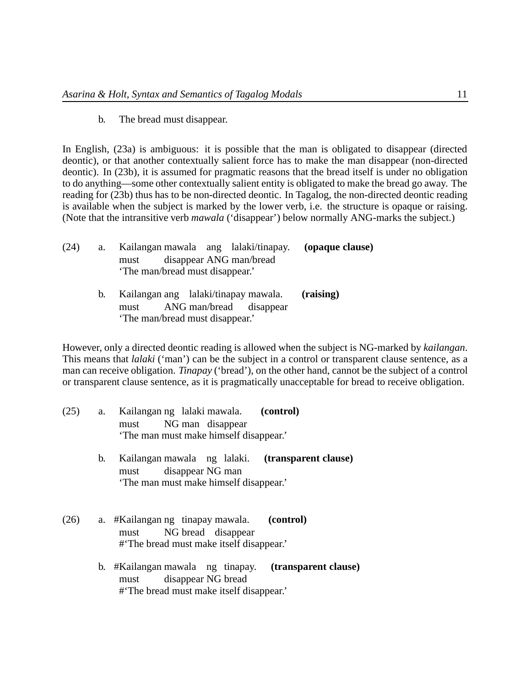b. The bread must disappear.

In English, (23a) is ambiguous: it is possible that the man is obligated to disappear (directed deontic), or that another contextually salient force has to make the man disappear (non-directed deontic). In (23b), it is assumed for pragmatic reasons that the bread itself is under no obligation to do anything—some other contextually salient entity is obligated to make the bread go away. The reading for (23b) thus has to be non-directed deontic. In Tagalog, the non-directed deontic reading is available when the subject is marked by the lower verb, i.e. the structure is opaque or raising. (Note that the intransitive verb *mawala* ('disappear') below normally ANG-marks the subject.)

| (24) | a. | Kailangan mawala ang lalaki/tinapay. ( <b>opaque clause</b> ) |  |
|------|----|---------------------------------------------------------------|--|
|      |    | disappear ANG man/bread<br>must                               |  |
|      |    | 'The man/bread must disappear.'                               |  |
|      |    | $V_o$ langan ang lalakitinanay mayyala (naising)              |  |

b. Kailangan ang lalaki/tinapay mawala. must ANG man/bread disappear **(raising)** 'The man/bread must disappear.'

However, only a directed deontic reading is allowed when the subject is NG-marked by *kailangan*. This means that *lalaki* ('man') can be the subject in a control or transparent clause sentence, as a man can receive obligation. *Tinapay* ('bread'), on the other hand, cannot be the subject of a control or transparent clause sentence, as it is pragmatically unacceptable for bread to receive obligation.

| (25) | a. | Kailangan ng lalaki mawala. (control)<br>NG man disappear<br>must<br>The man must make himself disappear.                   |  |
|------|----|-----------------------------------------------------------------------------------------------------------------------------|--|
|      | b. | Kailangan mawala ng lalaki. ( <b>transparent clause</b> )<br>must disappear NG man<br>The man must make himself disappear.' |  |
| (26) |    | a. #Kailangan ng tinapay mawala. (control)<br>NG bread disappear<br>must<br>#The bread must make itself disappear.          |  |
|      |    | b. #Kailangan mawala ng tinapay. ( <b>transparent clause</b> )<br>must disappear NG bread                                   |  |

#'The bread must make itself disappear.'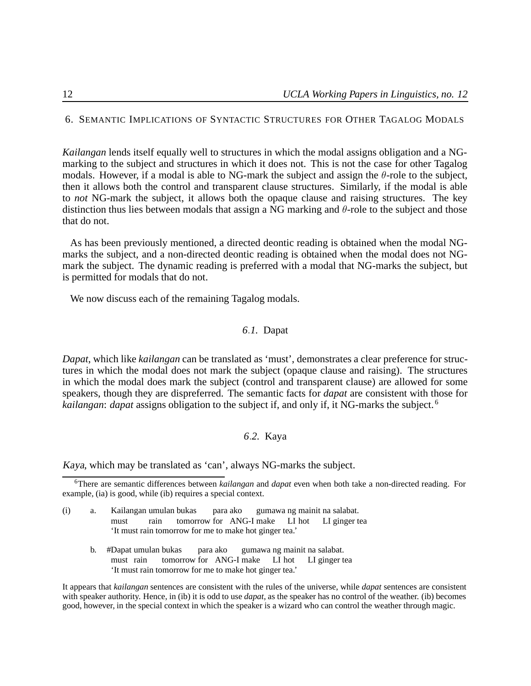#### 6. SEMANTIC IMPLICATIONS OF SYNTACTIC STRUCTURES FOR OTHER TAGALOG MODALS

*Kailangan* lends itself equally well to structures in which the modal assigns obligation and a NGmarking to the subject and structures in which it does not. This is not the case for other Tagalog modals. However, if a modal is able to NG-mark the subject and assign the  $\theta$ -role to the subject, then it allows both the control and transparent clause structures. Similarly, if the modal is able to *not* NG-mark the subject, it allows both the opaque clause and raising structures. The key distinction thus lies between modals that assign a NG marking and  $\theta$ -role to the subject and those that do not.

As has been previously mentioned, a directed deontic reading is obtained when the modal NGmarks the subject, and a non-directed deontic reading is obtained when the modal does not NGmark the subject. The dynamic reading is preferred with a modal that NG-marks the subject, but is permitted for modals that do not.

We now discuss each of the remaining Tagalog modals.

# *6*.*1.* Dapat

*Dapat*, which like *kailangan* can be translated as 'must', demonstrates a clear preference for structures in which the modal does not mark the subject (opaque clause and raising). The structures in which the modal does mark the subject (control and transparent clause) are allowed for some speakers, though they are dispreferred. The semantic facts for *dapat* are consistent with those for *kailangan*: *dapat* assigns obligation to the subject if, and only if, it NG-marks the subject. <sup>6</sup>

#### *6*.*2.* Kaya

Kaya, which may be translated as 'can', always NG-marks the subject.

- (i) a. Kailangan umulan bukas must rain tomorrow for ANG-I make LI hot para ako gumawa ng mainit na salabat. LI ginger tea 'It must rain tomorrow for me to make hot ginger tea.'
	- b. #Dapat umulan bukas must rain tomorrow for ANG-I make LI hot para ako gumawa ng mainit na salabat. LI ginger tea 'It must rain tomorrow for me to make hot ginger tea.'

It appears that *kailangan* sentences are consistent with the rules of the universe, while *dapat* sentences are consistent with speaker authority. Hence, in (ib) it is odd to use *dapat*, as the speaker has no control of the weather. (ib) becomes good, however, in the special context in which the speaker is a wizard who can control the weather through magic.

<sup>6</sup>There are semantic differences between *kailangan* and *dapat* even when both take a non-directed reading. For example, (ia) is good, while (ib) requires a special context.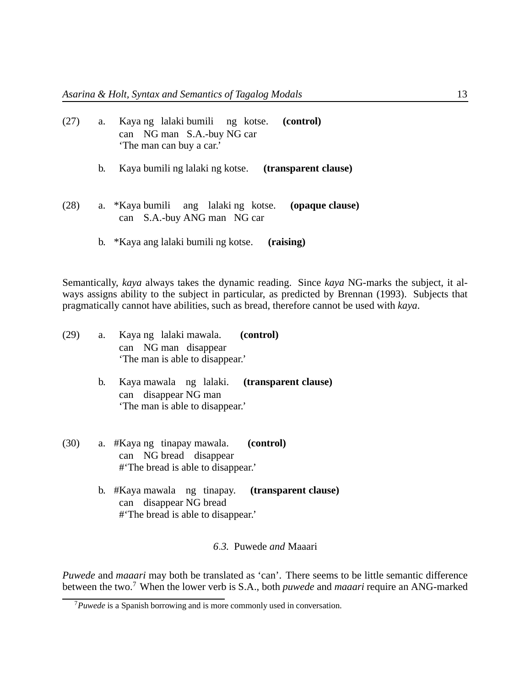| (27) |    | a. Kaya ng lalaki bumili ng kotse. (control)<br>can NG man S.A.-buy NG car<br>'The man can buy a car.' |
|------|----|--------------------------------------------------------------------------------------------------------|
|      | b. | Kaya bumili ng lalaki ng kotse. ( <b>transparent clause</b> )                                          |
| (28) |    | a. *Kaya bumili ang lalaki ng kotse.<br>(opaque clause)<br>can S.A.-buy ANG man NG car                 |
|      |    | b. *Kaya ang lalaki bumili ng kotse.<br>(raising)                                                      |

Semantically, *kaya* always takes the dynamic reading. Since *kaya* NG-marks the subject, it always assigns ability to the subject in particular, as predicted by Brennan (1993). Subjects that pragmatically cannot have abilities, such as bread, therefore cannot be used with *kaya*.

| (29)                            |  | a. Kaya ng lalaki mawala. (control) |
|---------------------------------|--|-------------------------------------|
|                                 |  | can NG man disappear                |
| 'The man is able to disappear.' |  |                                     |

- b. Kaya mawala ng lalaki. can disappear NG man **(transparent clause)** 'The man is able to disappear.'
- (30) a. #Kaya ng tinapay mawala. can NG bread disappear **(control)** #'The bread is able to disappear.'
	- b. #Kaya mawala ng tinapay. can disappear NG bread **(transparent clause)** #'The bread is able to disappear.'

### *6*.*3.* Puwede *and* Maaari

*Puwede* and *maaari* may both be translated as 'can'. There seems to be little semantic difference between the two.<sup>7</sup> When the lower verb is S.A., both *puwede* and *maaari* require an ANG-marked

<sup>7</sup>*Puwede* is a Spanish borrowing and is more commonly used in conversation.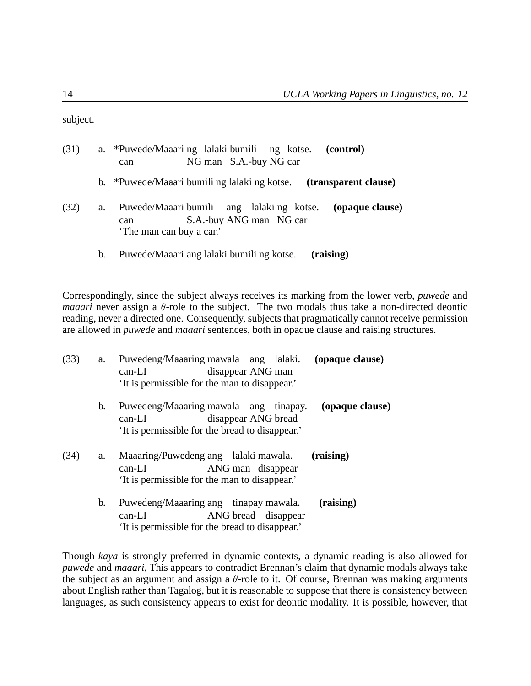subject.

| (31) |    | a. *Puwede/Maaaring lalaki bumili ng kotse. (control)<br>NG man S.A.-buy NG car<br>can                                     |
|------|----|----------------------------------------------------------------------------------------------------------------------------|
|      |    | b. *Puwede/Maaari bumili ng lalaki ng kotse. (transparent clause)                                                          |
| (32) | a. | Puwede/Maaari bumili ang lalaki ng kotse.<br>(opaque clause)<br>S.A.-buy ANG man NG car<br>can<br>'The man can buy a car.' |
|      | b. | Puwede/Maaari ang lalaki bumili ng kotse.<br>(raising)                                                                     |

Correspondingly, since the subject always receives its marking from the lower verb, *puwede* and *maaari* never assign a  $\theta$ -role to the subject. The two modals thus take a non-directed deontic reading, never a directed one. Consequently, subjects that pragmatically cannot receive permission are allowed in *puwede* and *maaari* sentences, both in opaque clause and raising structures.

| (33) | a. | Puwedeng/Maaaring mawala ang lalaki.<br>(opaque clause)<br>disappear ANG man<br>$can-LI$<br>'It is permissible for the man to disappear.'    |
|------|----|----------------------------------------------------------------------------------------------------------------------------------------------|
|      | b. | Puwedeng/Maaaring mawala ang tinapay.<br>(opaque clause)<br>disappear ANG bread<br>$can-LI$<br>It is permissible for the bread to disappear. |
| (34) | a. | Maaaring/Puwedeng ang lalaki mawala.<br>(raising)<br>ANG man disappear<br>$can-LI$<br>It is permissible for the man to disappear.            |
|      | b. | Puwedeng/Maaaring ang tinapay mawala.<br>(raising)<br>ANG bread disappear<br>can-LI<br>It is permissible for the bread to disappear.         |

Though *kaya* is strongly preferred in dynamic contexts, a dynamic reading is also allowed for *puwede* and *maaari*, This appears to contradict Brennan's claim that dynamic modals always take the subject as an argument and assign a  $\theta$ -role to it. Of course, Brennan was making arguments about English rather than Tagalog, but it is reasonable to suppose that there is consistency between languages, as such consistency appears to exist for deontic modality. It is possible, however, that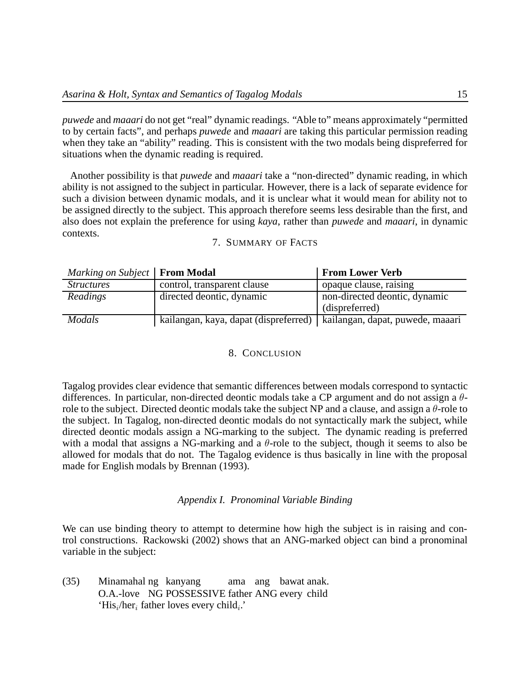*puwede* and *maaari* do not get "real" dynamic readings. "Able to" means approximately "permitted to by certain facts", and perhaps *puwede* and *maaari* are taking this particular permission reading when they take an "ability" reading. This is consistent with the two modals being dispreferred for situations when the dynamic reading is required.

Another possibility is that *puwede* and *maaari* take a "non-directed" dynamic reading, in which ability is not assigned to the subject in particular. However, there is a lack of separate evidence for such a division between dynamic modals, and it is unclear what it would mean for ability not to be assigned directly to the subject. This approach therefore seems less desirable than the first, and also does not explain the preference for using *kaya*, rather than *puwede* and *maaari*, in dynamic contexts.

# 7. SUMMARY OF FACTS

| Marking on Subject   <b>From Modal</b> |                                                                          | <b>From Lower Verb</b>        |
|----------------------------------------|--------------------------------------------------------------------------|-------------------------------|
| <i><u><b>Structures</b></u></i>        | control, transparent clause                                              | opaque clause, raising        |
| Readings                               | directed deontic, dynamic                                                | non-directed deontic, dynamic |
|                                        |                                                                          | (dispreferred)                |
| <b>Modals</b>                          | kailangan, kaya, dapat (dispreferred)   kailangan, dapat, puwede, maaari |                               |

#### 8. CONCLUSION

Tagalog provides clear evidence that semantic differences between modals correspond to syntactic differences. In particular, non-directed deontic modals take a CP argument and do not assign a  $\theta$ role to the subject. Directed deontic modals take the subject NP and a clause, and assign a  $\theta$ -role to the subject. In Tagalog, non-directed deontic modals do not syntactically mark the subject, while directed deontic modals assign a NG-marking to the subject. The dynamic reading is preferred with a modal that assigns a NG-marking and a  $\theta$ -role to the subject, though it seems to also be allowed for modals that do not. The Tagalog evidence is thus basically in line with the proposal made for English modals by Brennan (1993).

## *Appendix I. Pronominal Variable Binding*

We can use binding theory to attempt to determine how high the subject is in raising and control constructions. Rackowski (2002) shows that an ANG-marked object can bind a pronominal variable in the subject:

(35) Minamahal ng kanyang O.A.-love NG POSSESSIVE father ANG every child ama ang bawat anak. 'His*i*/her*<sup>i</sup>* father loves every child*i*.'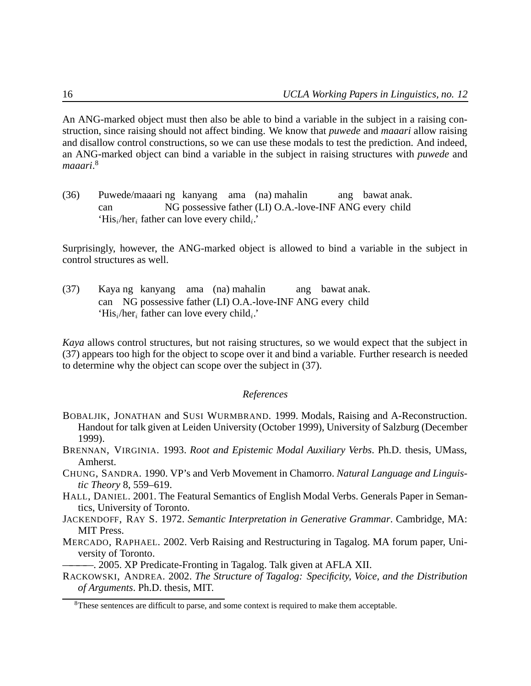An ANG-marked object must then also be able to bind a variable in the subject in a raising construction, since raising should not affect binding. We know that *puwede* and *maaari* allow raising and disallow control constructions, so we can use these modals to test the prediction. And indeed, an ANG-marked object can bind a variable in the subject in raising structures with *puwede* and *maaari*. 8

(36) Puwede/maaari ng kanyang ama (na) mahalin can NG possessive father (LI) O.A.-love-INF ANG every child ang bawat anak. 'His*i*/her*<sup>i</sup>* father can love every child*i*.'

Surprisingly, however, the ANG-marked object is allowed to bind a variable in the subject in control structures as well.

(37) Kaya ng kanyang ama (na) mahalin can NG possessive father (LI) O.A.-love-INF ANG every child ang bawat anak. 'His*i*/her*<sup>i</sup>* father can love every child*i*.'

*Kaya* allows control structures, but not raising structures, so we would expect that the subject in (37) appears too high for the object to scope over it and bind a variable. Further research is needed to determine why the object can scope over the subject in (37).

# *References*

- BOBALJIK, JONATHAN and SUSI WURMBRAND. 1999. Modals, Raising and A-Reconstruction. Handout for talk given at Leiden University (October 1999), University of Salzburg (December 1999).
- BRENNAN, VIRGINIA. 1993. *Root and Epistemic Modal Auxiliary Verbs*. Ph.D. thesis, UMass, Amherst.
- CHUNG, SANDRA. 1990. VP's and Verb Movement in Chamorro. *Natural Language and Linguistic Theory* 8, 559–619.
- HALL, DANIEL. 2001. The Featural Semantics of English Modal Verbs. Generals Paper in Semantics, University of Toronto.

JACKENDOFF, RAY S. 1972. *Semantic Interpretation in Generative Grammar*. Cambridge, MA: MIT Press.

MERCADO, RAPHAEL. 2002. Verb Raising and Restructuring in Tagalog. MA forum paper, University of Toronto.

—. 2005. XP Predicate-Fronting in Tagalog. Talk given at AFLA XII.

RACKOWSKI, ANDREA. 2002. *The Structure of Tagalog: Specificity, Voice, and the Distribution of Arguments*. Ph.D. thesis, MIT.

<sup>&</sup>lt;sup>8</sup>These sentences are difficult to parse, and some context is required to make them acceptable.